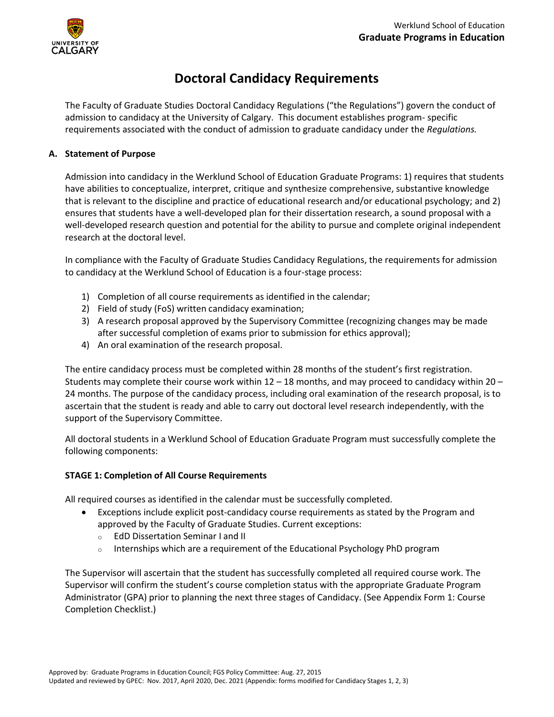

## **Doctoral Candidacy Requirements**

The Faculty of Graduate Studies [Doctoral Candidacy Regulations](http://www.ucalgary.ca/pubs/calendar/grad/current/gs-j.html) ("the Regulations") govern the conduct of admission to candidacy at the University of Calgary. This document establishes program- specific requirements associated with the conduct of admission to graduate candidacy under the *Regulations.*

## **A. Statement of Purpose**

Admission into candidacy in the Werklund School of Education Graduate Programs: 1) requires that students have abilities to conceptualize, interpret, critique and synthesize comprehensive, substantive knowledge that is relevant to the discipline and practice of educational research and/or educational psychology; and 2) ensures that students have a well-developed plan for their dissertation research, a sound proposal with a well-developed research question and potential for the ability to pursue and complete original independent research at the doctoral level.

In compliance with the Faculty of Graduate Studies Candidacy Regulations, the requirements for admission to candidacy at the Werklund School of Education is a four-stage process:

- 1) Completion of all course requirements as identified in the calendar;
- 2) Field of study (FoS) written candidacy examination;
- 3) A research proposal approved by the Supervisory Committee (recognizing changes may be made after successful completion of exams prior to submission for ethics approval);
- 4) An oral examination of the research proposal.

The entire candidacy process must be completed within 28 months of the student's first registration. Students may complete their course work within  $12 - 18$  months, and may proceed to candidacy within  $20 -$ 24 months. The purpose of the candidacy process, including oral examination of the research proposal, is to ascertain that the student is ready and able to carry out doctoral level research independently, with the support of the Supervisory Committee.

All doctoral students in a Werklund School of Education Graduate Program must successfully complete the following components:

## **STAGE 1: Completion of All Course Requirements**

All required courses as identified in the calendar must be successfully completed.

- Exceptions include explicit post-candidacy course requirements as stated by the Program and approved by the Faculty of Graduate Studies. Current exceptions:
	- o EdD Dissertation Seminar I and II
	- $\circ$  Internships which are a requirement of the Educational Psychology PhD program

The Supervisor will ascertain that the student has successfully completed all required course work. The Supervisor will confirm the student's course completion status with the appropriate Graduate Program Administrator (GPA) prior to planning the next three stages of Candidacy. (See Appendix Form 1: Course Completion Checklist.)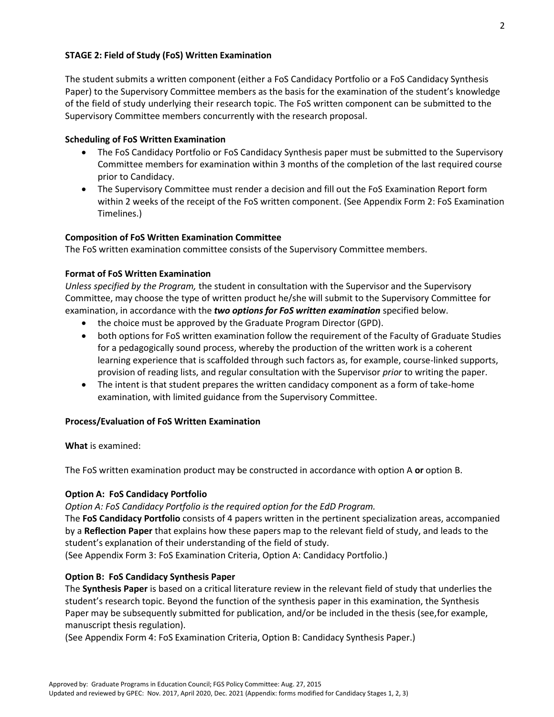The student submits a written component (either a FoS Candidacy Portfolio or a FoS Candidacy Synthesis Paper) to the Supervisory Committee members as the basis for the examination of the student's knowledge of the field of study underlying their research topic. The FoS written component can be submitted to the Supervisory Committee members concurrently with the research proposal.

## **Scheduling of FoS Written Examination**

- The FoS Candidacy Portfolio or FoS Candidacy Synthesis paper must be submitted to the Supervisory Committee members for examination within 3 months of the completion of the last required course prior to Candidacy.
- The Supervisory Committee must render a decision and fill out the FoS Examination Report form within 2 weeks of the receipt of the FoS written component. (See Appendix Form 2: FoS Examination Timelines.)

## **Composition of FoS Written Examination Committee**

The FoS written examination committee consists of the Supervisory Committee members.

## **Format of FoS Written Examination**

*Unless specified by the Program,* the student in consultation with the Supervisor and the Supervisory Committee, may choose the type of written product he/she will submit to the Supervisory Committee for examination, in accordance with the *two options for FoS written examination* specified below.

- the choice must be approved by the Graduate Program Director (GPD).
- both options for FoS written examination follow the requirement of the Faculty of Graduate Studies for a pedagogically sound process, whereby the production of the written work is a coherent learning experience that is scaffolded through such factors as, for example, course-linked supports, provision of reading lists, and regular consultation with the Supervisor *prior* to writing the paper.
- The intent is that student prepares the written candidacy component as a form of take-home examination, with limited guidance from the Supervisory Committee.

## **Process/Evaluation of FoS Written Examination**

**What** is examined:

The FoS written examination product may be constructed in accordance with option A **or** option B.

## **Option A: FoS Candidacy Portfolio**

*Option A: FoS Candidacy Portfolio is the required option for the EdD Program.*

The **FoS Candidacy Portfolio** consists of 4 papers written in the pertinent specialization areas, accompanied by a **Reflection Paper** that explains how these papers map to the relevant field of study, and leads to the student's explanation of their understanding of the field of study.

(See Appendix Form 3: FoS Examination Criteria, Option A: Candidacy Portfolio.)

## **Option B: FoS Candidacy Synthesis Paper**

The **Synthesis Paper** is based on a critical literature review in the relevant field of study that underlies the student's research topic. Beyond the function of the synthesis paper in this examination, the Synthesis Paper may be subsequently submitted for publication, and/or be included in the thesis (see,for example, manuscript thesis regulation).

(See Appendix Form 4: FoS Examination Criteria, Option B: Candidacy Synthesis Paper.)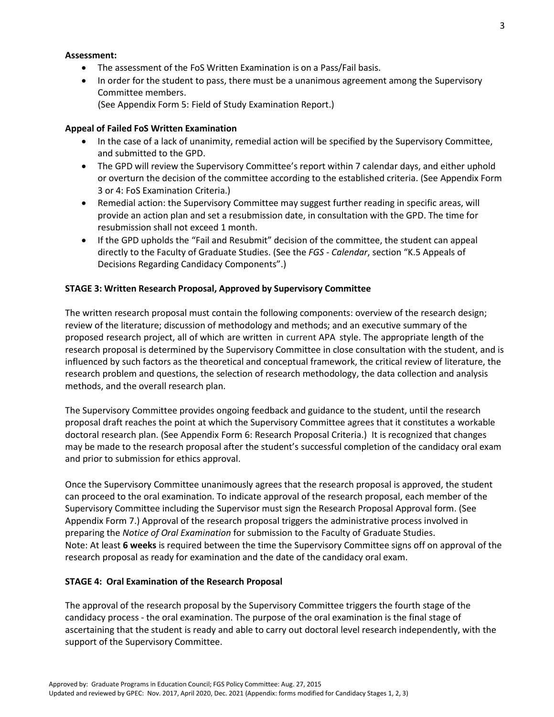#### **Assessment:**

- The assessment of the FoS Written Examination is on a Pass/Fail basis.
- In order for the student to pass, there must be a unanimous agreement among the Supervisory Committee members.
	- (See Appendix Form 5: Field of Study Examination Report.)

## **Appeal of Failed FoS Written Examination**

- In the case of a lack of unanimity, remedial action will be specified by the Supervisory Committee, and submitted to the GPD.
- The GPD will review the Supervisory Committee's report within 7 calendar days, and either uphold or overturn the decision of the committee according to the established criteria. (See Appendix Form 3 or 4: FoS Examination Criteria.)
- Remedial action: the Supervisory Committee may suggest further reading in specific areas, will provide an action plan and set a resubmission date, in consultation with the GPD. The time for resubmission shall not exceed 1 month.
- If the GPD upholds the "Fail and Resubmit" decision of the committee, the student can appeal directly to the Faculty of Graduate Studies. (See the *FGS - Calendar*, section "K.5 Appeals of Decisions Regarding Candidacy Components".)

## **STAGE 3: Written Research Proposal, Approved by Supervisory Committee**

The written research proposal must contain the following components: overview of the research design; review of the literature; discussion of methodology and methods; and an executive summary of the proposed research project, all of which are written in current APA style. The appropriate length of the research proposal is determined by the Supervisory Committee in close consultation with the student, and is influenced by such factors as the theoretical and conceptual framework, the critical review of literature, the research problem and questions, the selection of research methodology, the data collection and analysis methods, and the overall research plan.

The Supervisory Committee provides ongoing feedback and guidance to the student, until the research proposal draft reaches the point at which the Supervisory Committee agrees that it constitutes a workable doctoral research plan. (See Appendix Form 6: Research Proposal Criteria.) It is recognized that changes may be made to the research proposal after the student's successful completion of the candidacy oral exam and prior to submission for ethics approval.

Once the Supervisory Committee unanimously agrees that the research proposal is approved, the student can proceed to the oral examination. To indicate approval of the research proposal, each member of the Supervisory Committee including the Supervisor must sign the Research Proposal Approval form. (See Appendix Form 7.) Approval of the research proposal triggers the administrative process involved in preparing the *Notice of Oral Examination* for submission to the Faculty of Graduate Studies. Note: At least **6 weeks** is required between the time the Supervisory Committee signs off on approval of the research proposal as ready for examination and the date of the candidacy oral exam.

## **STAGE 4: Oral Examination of the Research Proposal**

The approval of the research proposal by the Supervisory Committee triggers the fourth stage of the candidacy process - the oral examination. The purpose of the oral examination is the final stage of ascertaining that the student is ready and able to carry out doctoral level research independently, with the support of the Supervisory Committee.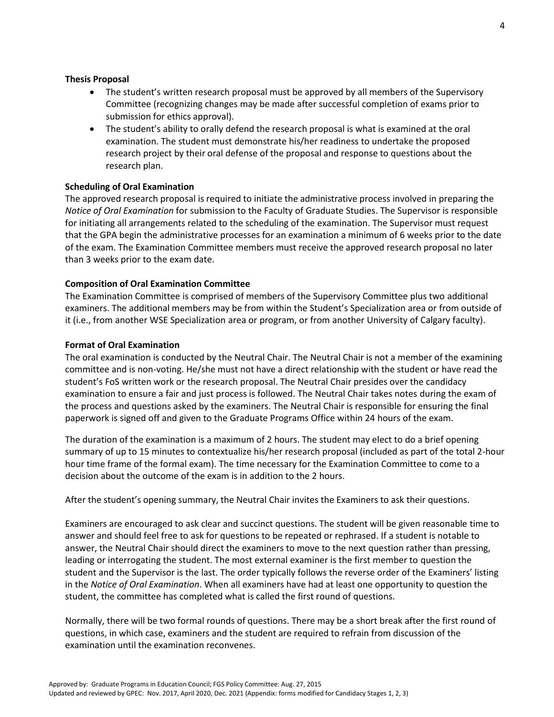#### **Thesis Proposal**

- The student's written research proposal must be approved by all members of the Supervisory Committee (recognizing changes may be made after successful completion of exams prior to submission for ethics approval).
- The student's ability to orally defend the research proposal is what is examined at the oral examination. The student must demonstrate his/her readiness to undertake the proposed research project by their oral defense of the proposal and response to questions about the research plan.

## **Scheduling of Oral Examination**

The approved research proposal is required to initiate the administrative process involved in preparing the *Notice of Oral Examination* for submission to the Faculty of Graduate Studies. The Supervisor is responsible for initiating all arrangements related to the scheduling of the examination. The Supervisor must request that the GPA begin the administrative processes for an examination a minimum of 6 weeks prior to the date of the exam. The Examination Committee members must receive the approved research proposal no later than 3 weeks prior to the exam date.

#### **Composition of Oral Examination Committee**

The Examination Committee is comprised of members of the Supervisory Committee plus two additional examiners. The additional members may be from within the Student's Specialization area or from outside of it (i.e., from another WSE Specialization area or program, or from another University of Calgary faculty).

#### **Format of Oral Examination**

The oral examination is conducted by the Neutral Chair. The Neutral Chair is not a member of the examining committee and is non-voting. He/she must not have a direct relationship with the student or have read the student's FoS written work or the research proposal. The Neutral Chair presides over the candidacy examination to ensure a fair and just process is followed. The Neutral Chair takes notes during the exam of the process and questions asked by the examiners. The Neutral Chair is responsible for ensuring the final paperwork is signed off and given to the Graduate Programs Office within 24 hours of the exam.

The duration of the examination is a maximum of 2 hours. The student may elect to do a brief opening summary of up to 15 minutes to contextualize his/her research proposal (included as part of the total 2-hour hour time frame of the formal exam). The time necessary for the Examination Committee to come to a decision about the outcome of the exam is in addition to the 2 hours.

After the student's opening summary, the Neutral Chair invites the Examiners to ask their questions.

Examiners are encouraged to ask clear and succinct questions. The student will be given reasonable time to answer and should feel free to ask for questions to be repeated or rephrased. If a student is notable to answer, the Neutral Chair should direct the examiners to move to the next question rather than pressing, leading or interrogating the student. The most external examiner is the first member to question the student and the Supervisor is the last. The order typically follows the reverse order of the Examiners' listing in the *Notice of Oral Examination*. When all examiners have had at least one opportunity to question the student, the committee has completed what is called the first round of questions.

Normally, there will be two formal rounds of questions. There may be a short break after the first round of questions, in which case, examiners and the student are required to refrain from discussion of the examination until the examination reconvenes.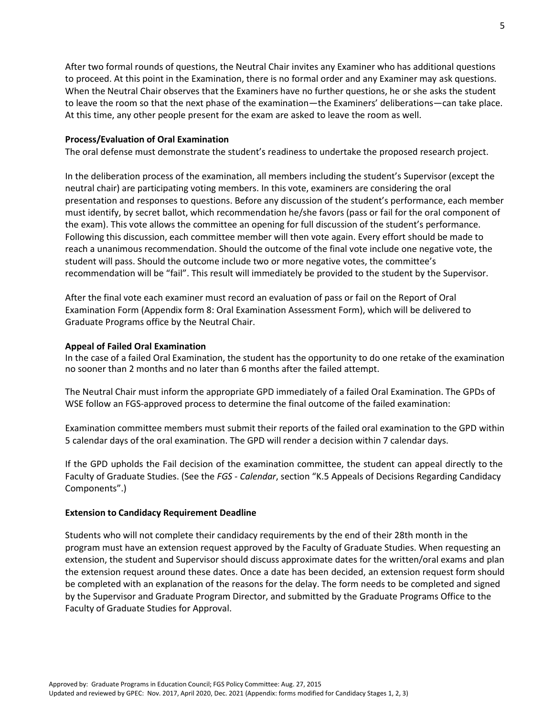After two formal rounds of questions, the Neutral Chair invites any Examiner who has additional questions to proceed. At this point in the Examination, there is no formal order and any Examiner may ask questions. When the Neutral Chair observes that the Examiners have no further questions, he or she asks the student to leave the room so that the next phase of the examination—the Examiners' deliberations—can take place. At this time, any other people present for the exam are asked to leave the room as well.

#### **Process/Evaluation of Oral Examination**

The oral defense must demonstrate the student's readiness to undertake the proposed research project.

In the deliberation process of the examination, all members including the student's Supervisor (except the neutral chair) are participating voting members. In this vote, examiners are considering the oral presentation and responses to questions. Before any discussion of the student's performance, each member must identify, by secret ballot, which recommendation he/she favors (pass or fail for the oral component of the exam). This vote allows the committee an opening for full discussion of the student's performance. Following this discussion, each committee member will then vote again. Every effort should be made to reach a unanimous recommendation. Should the outcome of the final vote include one negative vote, the student will pass. Should the outcome include two or more negative votes, the committee's recommendation will be "fail". This result will immediately be provided to the student by the Supervisor.

After the final vote each examiner must record an evaluation of pass or fail on the Report of Oral Examination Form (Appendix form 8: Oral Examination Assessment Form), which will be delivered to Graduate Programs office by the Neutral Chair.

#### **Appeal of Failed Oral Examination**

In the case of a failed Oral Examination, the student has the opportunity to do one retake of the examination no sooner than 2 months and no later than 6 months after the failed attempt.

The Neutral Chair must inform the appropriate GPD immediately of a failed Oral Examination. The GPDs of WSE follow an FGS-approved process to determine the final outcome of the failed examination:

Examination committee members must submit their reports of the failed oral examination to the GPD within 5 calendar days of the oral examination. The GPD will render a decision within 7 calendar days.

If the GPD upholds the Fail decision of the examination committee, the student can appeal directly to the Faculty of Graduate Studies. (See the *FGS - Calendar*, section "K.5 Appeals of Decisions Regarding Candidacy Components".)

#### **Extension to Candidacy Requirement Deadline**

Students who will not complete their candidacy requirements by the end of their 28th month in the program must have an extension request approved by the Faculty of Graduate Studies. When requesting an extension, the student and Supervisor should discuss approximate dates for the written/oral exams and plan the extension request around these dates. Once a date has been decided, an extension request form should be completed with an explanation of the reasons for the delay. The form needs to be completed and signed by the Supervisor and Graduate Program Director, and submitted by the Graduate Programs Office to the Faculty of Graduate Studies for Approval.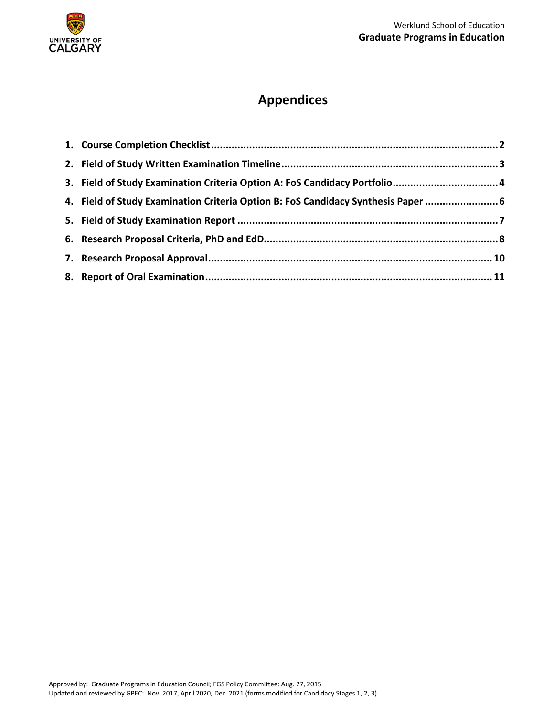

# **Appendices**

| 3. Field of Study Examination Criteria Option A: FoS Candidacy Portfolio 4        |  |
|-----------------------------------------------------------------------------------|--|
| 4. Field of Study Examination Criteria Option B: FoS Candidacy Synthesis Paper  6 |  |
|                                                                                   |  |
|                                                                                   |  |
|                                                                                   |  |
|                                                                                   |  |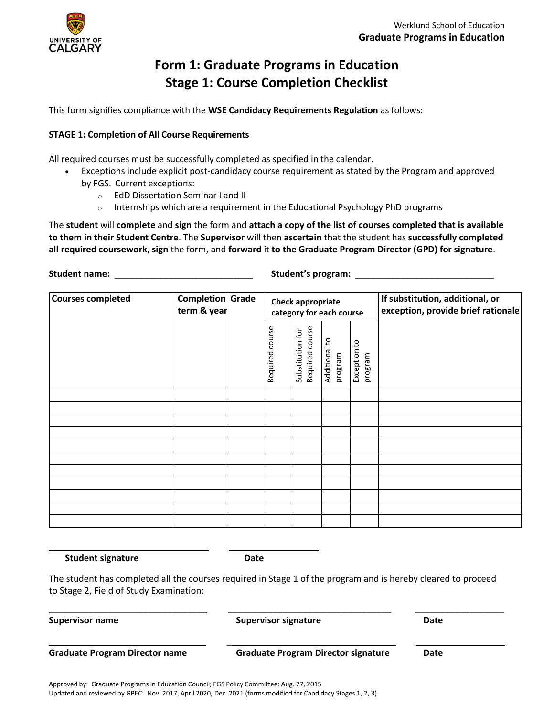

# **Form 1: Graduate Programs in Education Stage 1: Course Completion Checklist**

<span id="page-6-0"></span>This form signifies compliance with the **WSE Candidacy Requirements Regulation** as follows:

## **STAGE 1: Completion of All Course Requirements**

All required courses must be successfully completed as specified in the calendar.

- Exceptions include explicit post-candidacy course requirement as stated by the Program and approved by FGS. Current exceptions:
	- o EdD Dissertation Seminar I and II
	- $\circ$  Internships which are a requirement in the Educational Psychology PhD programs

The **student** will **complete** and **sign** the form and **attach a copy of the list of courses completed that is available to them in their Student Centre**. The **Supervisor** will then **ascertain** that the student has **successfully completed all required coursework**, **sign** the form, and **forward** it **to the Graduate Program Director (GPD) for signature**.

**Student name:** \_\_\_\_\_\_\_\_\_\_\_\_\_\_\_\_\_\_\_\_\_\_\_\_\_\_\_\_ **Student's program:** \_\_\_\_\_\_\_\_\_\_\_\_\_\_\_\_\_\_\_\_\_\_\_\_\_\_\_\_

| <b>Courses completed</b><br>Completion Grade<br>term & year |  | <b>Check appropriate</b><br>category for each course |                                     |                          |                         | If substitution, additional, or<br>exception, provide brief rationale |
|-------------------------------------------------------------|--|------------------------------------------------------|-------------------------------------|--------------------------|-------------------------|-----------------------------------------------------------------------|
|                                                             |  | course<br>Required                                   | Required course<br>Substitution for | Additional to<br>program | Exception to<br>program |                                                                       |
|                                                             |  |                                                      |                                     |                          |                         |                                                                       |
|                                                             |  |                                                      |                                     |                          |                         |                                                                       |
|                                                             |  |                                                      |                                     |                          |                         |                                                                       |
|                                                             |  |                                                      |                                     |                          |                         |                                                                       |
|                                                             |  |                                                      |                                     |                          |                         |                                                                       |
|                                                             |  |                                                      |                                     |                          |                         |                                                                       |
|                                                             |  |                                                      |                                     |                          |                         |                                                                       |
|                                                             |  |                                                      |                                     |                          |                         |                                                                       |
|                                                             |  |                                                      |                                     |                          |                         |                                                                       |
|                                                             |  |                                                      |                                     |                          |                         |                                                                       |
|                                                             |  |                                                      |                                     |                          |                         |                                                                       |

**Student signature Date**

 $\overline{\phantom{0}}$ 

The student has completed all the courses required in Stage 1 of the program and is hereby cleared to proceed to Stage 2, Field of Study Examination:

| <b>Supervisor name</b>                | <b>Supervisor signature</b>                | Date |  |
|---------------------------------------|--------------------------------------------|------|--|
| <b>Graduate Program Director name</b> | <b>Graduate Program Director signature</b> | Date |  |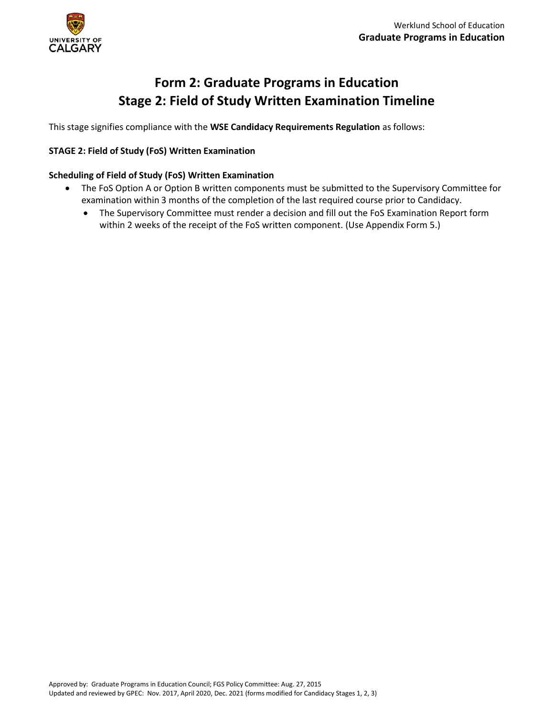

# **Form 2: Graduate Programs in Education Stage 2: Field of Study Written Examination Timeline**

<span id="page-7-0"></span>This stage signifies compliance with the **WSE Candidacy Requirements Regulation** as follows:

## **STAGE 2: Field of Study (FoS) Written Examination**

## **Scheduling of Field of Study (FoS) Written Examination**

- The FoS Option A or Option B written components must be submitted to the Supervisory Committee for examination within 3 months of the completion of the last required course prior to Candidacy.
	- The Supervisory Committee must render a decision and fill out the FoS Examination Report form within 2 weeks of the receipt of the FoS written component. (Use Appendix Form 5.)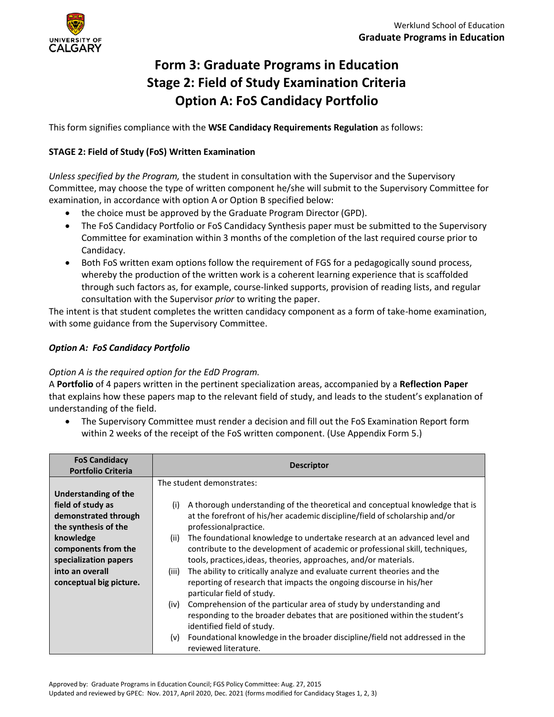

# <span id="page-8-0"></span>**Form 3: Graduate Programs in Education Stage 2: Field of Study Examination Criteria Option A: FoS Candidacy Portfolio**

This form signifies compliance with the **WSE Candidacy Requirements Regulation** as follows:

## **STAGE 2: Field of Study (FoS) Written Examination**

*Unless specified by the Program,* the student in consultation with the Supervisor and the Supervisory Committee, may choose the type of written component he/she will submit to the Supervisory Committee for examination, in accordance with option A or Option B specified below:

- the choice must be approved by the Graduate Program Director (GPD).
- The FoS Candidacy Portfolio or FoS Candidacy Synthesis paper must be submitted to the Supervisory Committee for examination within 3 months of the completion of the last required course prior to Candidacy.
- Both FoS written exam options follow the requirement of FGS for a pedagogically sound process, whereby the production of the written work is a coherent learning experience that is scaffolded through such factors as, for example, course-linked supports, provision of reading lists, and regular consultation with the Supervisor *prior* to writing the paper.

The intent is that student completes the written candidacy component as a form of take-home examination, with some guidance from the Supervisory Committee.

## *Option A: FoS Candidacy Portfolio*

## *Option A is the required option for the EdD Program.*

A **Portfolio** of 4 papers written in the pertinent specialization areas, accompanied by a **Reflection Paper**  that explains how these papers map to the relevant field of study, and leads to the student's explanation of understanding of the field.

• The Supervisory Committee must render a decision and fill out the FoS Examination Report form within 2 weeks of the receipt of the FoS written component. (Use Appendix Form 5.)

| <b>FoS Candidacy</b><br><b>Portfolio Criteria</b>                                                                                                                                                    | <b>Descriptor</b>                                                                                                                                                                                                                                                                                                                                                                                                                                                                                                                                                                                                                                                                                                                                                                                                      |
|------------------------------------------------------------------------------------------------------------------------------------------------------------------------------------------------------|------------------------------------------------------------------------------------------------------------------------------------------------------------------------------------------------------------------------------------------------------------------------------------------------------------------------------------------------------------------------------------------------------------------------------------------------------------------------------------------------------------------------------------------------------------------------------------------------------------------------------------------------------------------------------------------------------------------------------------------------------------------------------------------------------------------------|
| Understanding of the<br>field of study as<br>demonstrated through<br>the synthesis of the<br>knowledge<br>components from the<br>specialization papers<br>into an overall<br>conceptual big picture. | The student demonstrates:<br>A thorough understanding of the theoretical and conceptual knowledge that is<br>(i)<br>at the forefront of his/her academic discipline/field of scholarship and/or<br>professionalpractice.<br>The foundational knowledge to undertake research at an advanced level and<br>(ii)<br>contribute to the development of academic or professional skill, techniques,<br>tools, practices, ideas, theories, approaches, and/or materials.<br>The ability to critically analyze and evaluate current theories and the<br>(iii)<br>reporting of research that impacts the ongoing discourse in his/her<br>particular field of study.<br>Comprehension of the particular area of study by understanding and<br>(iv)<br>responding to the broader debates that are positioned within the student's |
|                                                                                                                                                                                                      | identified field of study.<br>Foundational knowledge in the broader discipline/field not addressed in the<br>(v)<br>reviewed literature.                                                                                                                                                                                                                                                                                                                                                                                                                                                                                                                                                                                                                                                                               |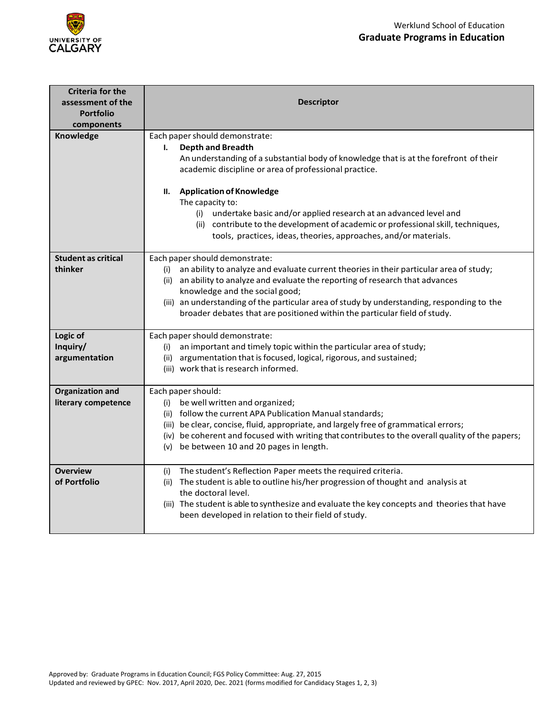



| <b>Criteria for the</b><br>assessment of the<br><b>Portfolio</b><br>components | <b>Descriptor</b>                                                                                                                                                                                                                                                                                                                                                                                                                                                                                                |  |  |  |  |  |
|--------------------------------------------------------------------------------|------------------------------------------------------------------------------------------------------------------------------------------------------------------------------------------------------------------------------------------------------------------------------------------------------------------------------------------------------------------------------------------------------------------------------------------------------------------------------------------------------------------|--|--|--|--|--|
| Knowledge                                                                      | Each paper should demonstrate:<br><b>Depth and Breadth</b><br>ı.<br>An understanding of a substantial body of knowledge that is at the forefront of their<br>academic discipline or area of professional practice.<br><b>Application of Knowledge</b><br>н.<br>The capacity to:<br>(i) undertake basic and/or applied research at an advanced level and<br>(ii) contribute to the development of academic or professional skill, techniques,<br>tools, practices, ideas, theories, approaches, and/or materials. |  |  |  |  |  |
| <b>Student as critical</b><br>thinker                                          | Each paper should demonstrate:<br>an ability to analyze and evaluate current theories in their particular area of study;<br>(i)<br>an ability to analyze and evaluate the reporting of research that advances<br>(ii)<br>knowledge and the social good;<br>(iii) an understanding of the particular area of study by understanding, responding to the<br>broader debates that are positioned within the particular field of study.                                                                               |  |  |  |  |  |
| Logic of<br>Inquiry/<br>argumentation                                          | Each paper should demonstrate:<br>(i) an important and timely topic within the particular area of study;<br>argumentation that is focused, logical, rigorous, and sustained;<br>(ii)<br>(iii) work that is research informed.                                                                                                                                                                                                                                                                                    |  |  |  |  |  |
| <b>Organization and</b><br>literary competence                                 | Each paper should:<br>(i) be well written and organized;<br>(ii) follow the current APA Publication Manual standards;<br>(iii) be clear, concise, fluid, appropriate, and largely free of grammatical errors;<br>(iv) be coherent and focused with writing that contributes to the overall quality of the papers;<br>(v) be between 10 and 20 pages in length.                                                                                                                                                   |  |  |  |  |  |
| <b>Overview</b><br>of Portfolio                                                | The student's Reflection Paper meets the required criteria.<br>(i)<br>(ii) The student is able to outline his/her progression of thought and analysis at<br>the doctoral level.<br>(iii) The student is able to synthesize and evaluate the key concepts and theories that have<br>been developed in relation to their field of study.                                                                                                                                                                           |  |  |  |  |  |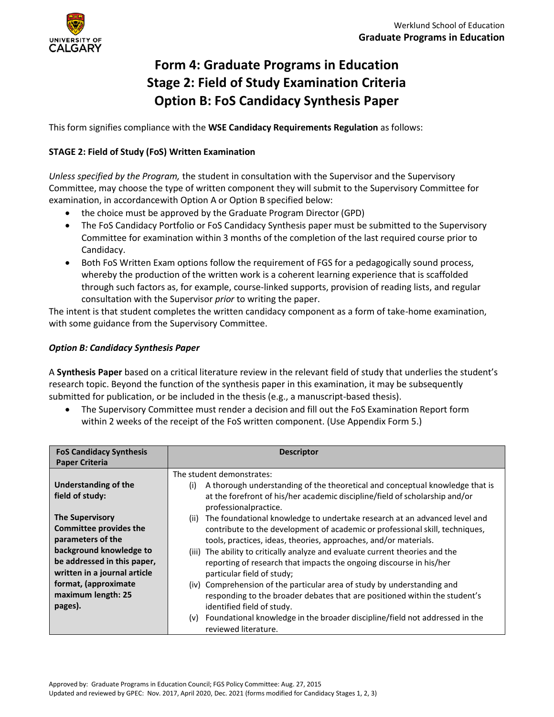

# <span id="page-10-0"></span>**Form 4: Graduate Programs in Education Stage 2: Field of Study Examination Criteria Option B: FoS Candidacy Synthesis Paper**

This form signifies compliance with the **WSE Candidacy Requirements Regulation** as follows:

## **STAGE 2: Field of Study (FoS) Written Examination**

*Unless specified by the Program,* the student in consultation with the Supervisor and the Supervisory Committee, may choose the type of written component they will submit to the Supervisory Committee for examination, in accordancewith Option A or Option B specified below:

- the choice must be approved by the Graduate Program Director (GPD)
- The FoS Candidacy Portfolio or FoS Candidacy Synthesis paper must be submitted to the Supervisory Committee for examination within 3 months of the completion of the last required course prior to Candidacy.
- Both FoS Written Exam options follow the requirement of FGS for a pedagogically sound process, whereby the production of the written work is a coherent learning experience that is scaffolded through such factors as, for example, course-linked supports, provision of reading lists, and regular consultation with the Supervisor *prior* to writing the paper.

The intent is that student completes the written candidacy component as a form of take-home examination, with some guidance from the Supervisory Committee.

## *Option B: Candidacy Synthesis Paper*

A **Synthesis Paper** based on a critical literature review in the relevant field of study that underlies the student's research topic. Beyond the function of the synthesis paper in this examination, it may be subsequently submitted for publication, or be included in the thesis (e.g., a manuscript-based thesis).

• The Supervisory Committee must render a decision and fill out the FoS Examination Report form within 2 weeks of the receipt of the FoS written component. (Use Appendix Form 5.)

| <b>FoS Candidacy Synthesis</b><br><b>Paper Criteria</b> | <b>Descriptor</b>                                                                                    |  |  |  |
|---------------------------------------------------------|------------------------------------------------------------------------------------------------------|--|--|--|
|                                                         | The student demonstrates:                                                                            |  |  |  |
| <b>Understanding of the</b>                             | A thorough understanding of the theoretical and conceptual knowledge that is<br>(i)                  |  |  |  |
| field of study:                                         | at the forefront of his/her academic discipline/field of scholarship and/or<br>professionalpractice. |  |  |  |
| <b>The Supervisory</b>                                  | The foundational knowledge to undertake research at an advanced level and<br>(ii)                    |  |  |  |
| <b>Committee provides the</b>                           | contribute to the development of academic or professional skill, techniques,                         |  |  |  |
| parameters of the                                       | tools, practices, ideas, theories, approaches, and/or materials.                                     |  |  |  |
| background knowledge to                                 | (iii) The ability to critically analyze and evaluate current theories and the                        |  |  |  |
| be addressed in this paper,                             | reporting of research that impacts the ongoing discourse in his/her                                  |  |  |  |
| written in a journal article                            | particular field of study;                                                                           |  |  |  |
| format, (approximate                                    | (iv) Comprehension of the particular area of study by understanding and                              |  |  |  |
| maximum length: 25                                      | responding to the broader debates that are positioned within the student's                           |  |  |  |
| pages).                                                 | identified field of study.                                                                           |  |  |  |
|                                                         | Foundational knowledge in the broader discipline/field not addressed in the<br>(v)                   |  |  |  |
|                                                         | reviewed literature.                                                                                 |  |  |  |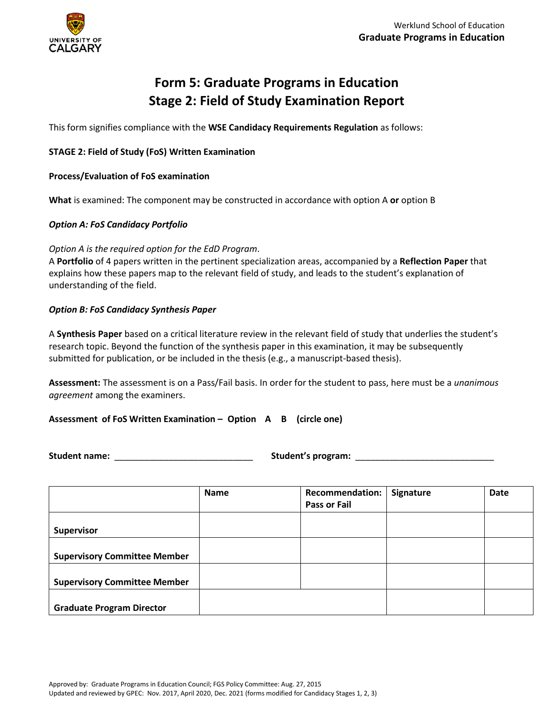

# **Form 5: Graduate Programs in Education Stage 2: Field of Study Examination Report**

<span id="page-11-0"></span>This form signifies compliance with the **WSE Candidacy Requirements Regulation** as follows:

#### **STAGE 2: Field of Study (FoS) Written Examination**

#### **Process/Evaluation of FoS examination**

**What** is examined: The component may be constructed in accordance with option A **or** option B

#### *Option A: FoS Candidacy Portfolio*

#### *Option A is the required option for the EdD Program*.

A **Portfolio** of 4 papers written in the pertinent specialization areas, accompanied by a **Reflection Paper** that explains how these papers map to the relevant field of study, and leads to the student's explanation of understanding of the field.

#### *Option B: FoS Candidacy Synthesis Paper*

A **Synthesis Paper** based on a critical literature review in the relevant field of study that underlies the student's research topic. Beyond the function of the synthesis paper in this examination, it may be subsequently submitted for publication, or be included in the thesis(e.g., a manuscript-based thesis).

**Assessment:** The assessment is on a Pass/Fail basis. In order for the student to pass, here must be a *unanimous agreement* among the examiners.

**Assessment of FoS Written Examination – Option A B (circle one)**

**Student name:** \_\_\_\_\_\_\_\_\_\_\_\_\_\_\_\_\_\_\_\_\_\_\_\_\_\_\_\_ **Student's program:** \_\_\_\_\_\_\_\_\_\_\_\_\_\_\_\_\_\_\_\_\_\_\_\_\_\_\_\_

|                                     | <b>Name</b> | <b>Recommendation:</b><br>Pass or Fail | Signature | Date |
|-------------------------------------|-------------|----------------------------------------|-----------|------|
| <b>Supervisor</b>                   |             |                                        |           |      |
| <b>Supervisory Committee Member</b> |             |                                        |           |      |
| <b>Supervisory Committee Member</b> |             |                                        |           |      |
| <b>Graduate Program Director</b>    |             |                                        |           |      |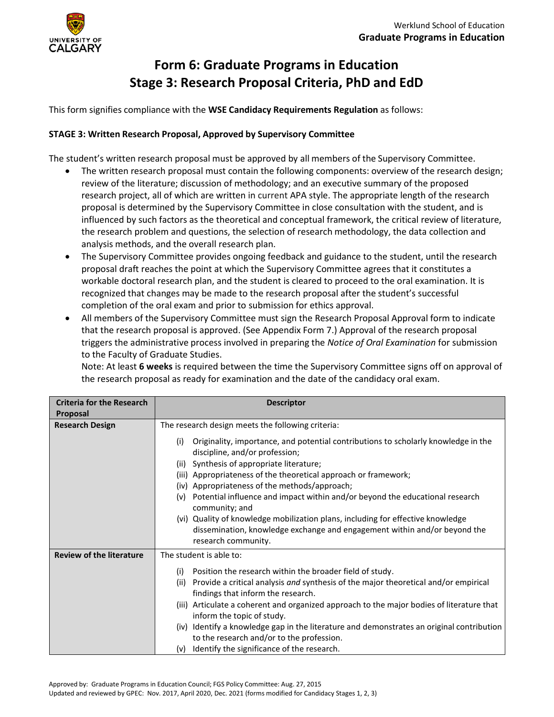

# <span id="page-12-0"></span>**Form 6: Graduate Programs in Education Stage 3: Research Proposal Criteria, PhD and EdD**

This form signifies compliance with the **WSE Candidacy Requirements Regulation** as follows:

## **STAGE 3: Written Research Proposal, Approved by Supervisory Committee**

The student's written research proposal must be approved by all members of the Supervisory Committee.

- The written research proposal must contain the following components: overview of the research design; review of the literature; discussion of methodology; and an executive summary of the proposed research project, all of which are written in current APA style. The appropriate length of the research proposal is determined by the Supervisory Committee in close consultation with the student, and is influenced by such factors as the theoretical and conceptual framework, the critical review of literature, the research problem and questions, the selection of research methodology, the data collection and analysis methods, and the overall research plan.
- The Supervisory Committee provides ongoing feedback and guidance to the student, until the research proposal draft reaches the point at which the Supervisory Committee agrees that it constitutes a workable doctoral research plan, and the student is cleared to proceed to the oral examination. It is recognized that changes may be made to the research proposal after the student's successful completion of the oral exam and prior to submission for ethics approval.
- All members of the Supervisory Committee must sign the Research Proposal Approval form to indicate that the research proposal is approved. (See Appendix Form 7.) Approval of the research proposal triggers the administrative process involved in preparing the *Notice of Oral Examination* for submission to the Faculty of Graduate Studies.

Note: At least **6 weeks** is required between the time the Supervisory Committee signs off on approval of the research proposal as ready for examination and the date of the candidacy oral exam.

| <b>Criteria for the Research</b><br>Proposal | <b>Descriptor</b>                                                                                                                                                                                                                                                                                                                                                                                                                                                                                                                                                                         |
|----------------------------------------------|-------------------------------------------------------------------------------------------------------------------------------------------------------------------------------------------------------------------------------------------------------------------------------------------------------------------------------------------------------------------------------------------------------------------------------------------------------------------------------------------------------------------------------------------------------------------------------------------|
| <b>Research Design</b>                       | The research design meets the following criteria:                                                                                                                                                                                                                                                                                                                                                                                                                                                                                                                                         |
|                                              | Originality, importance, and potential contributions to scholarly knowledge in the<br>(i)<br>discipline, and/or profession;<br>(ii) Synthesis of appropriate literature;<br>(iii) Appropriateness of the theoretical approach or framework;<br>(iv) Appropriateness of the methods/approach;<br>(v) Potential influence and impact within and/or beyond the educational research<br>community; and<br>(vi) Quality of knowledge mobilization plans, including for effective knowledge<br>dissemination, knowledge exchange and engagement within and/or beyond the<br>research community. |
| <b>Review of the literature</b>              | The student is able to:                                                                                                                                                                                                                                                                                                                                                                                                                                                                                                                                                                   |
|                                              | Position the research within the broader field of study.<br>(i)<br>(ii) Provide a critical analysis and synthesis of the major theoretical and/or empirical<br>findings that inform the research.<br>(iii) Articulate a coherent and organized approach to the major bodies of literature that<br>inform the topic of study.<br>(iv) Identify a knowledge gap in the literature and demonstrates an original contribution<br>to the research and/or to the profession.<br>(v) Identify the significance of the research.                                                                  |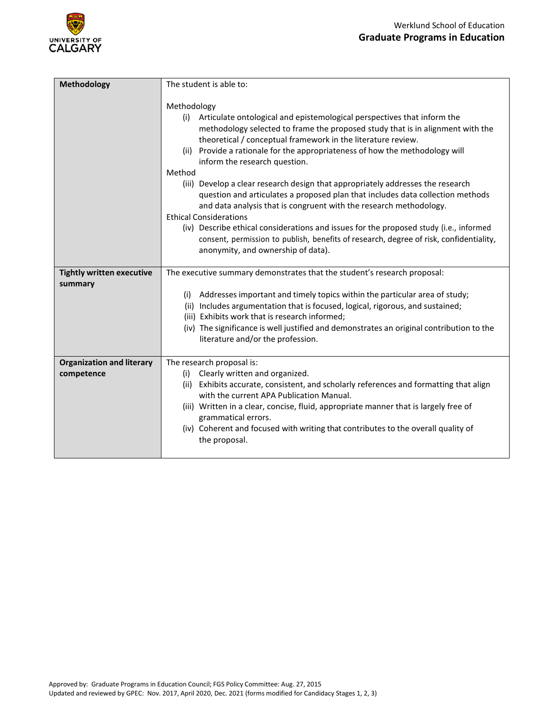

| Methodology                      | The student is able to:                                                                                                                                                                                                                                                                                                                                                                                                                                                                                                                                                                                                                                                                                                                                                                                                                                                          |
|----------------------------------|----------------------------------------------------------------------------------------------------------------------------------------------------------------------------------------------------------------------------------------------------------------------------------------------------------------------------------------------------------------------------------------------------------------------------------------------------------------------------------------------------------------------------------------------------------------------------------------------------------------------------------------------------------------------------------------------------------------------------------------------------------------------------------------------------------------------------------------------------------------------------------|
|                                  | Methodology<br>Articulate ontological and epistemological perspectives that inform the<br>(i)<br>methodology selected to frame the proposed study that is in alignment with the<br>theoretical / conceptual framework in the literature review.<br>(ii) Provide a rationale for the appropriateness of how the methodology will<br>inform the research question.<br>Method<br>(iii) Develop a clear research design that appropriately addresses the research<br>question and articulates a proposed plan that includes data collection methods<br>and data analysis that is congruent with the research methodology.<br><b>Ethical Considerations</b><br>(iv) Describe ethical considerations and issues for the proposed study (i.e., informed<br>consent, permission to publish, benefits of research, degree of risk, confidentiality,<br>anonymity, and ownership of data). |
| <b>Tightly written executive</b> | The executive summary demonstrates that the student's research proposal:                                                                                                                                                                                                                                                                                                                                                                                                                                                                                                                                                                                                                                                                                                                                                                                                         |
| summary                          |                                                                                                                                                                                                                                                                                                                                                                                                                                                                                                                                                                                                                                                                                                                                                                                                                                                                                  |
|                                  | (i) Addresses important and timely topics within the particular area of study;                                                                                                                                                                                                                                                                                                                                                                                                                                                                                                                                                                                                                                                                                                                                                                                                   |
|                                  |                                                                                                                                                                                                                                                                                                                                                                                                                                                                                                                                                                                                                                                                                                                                                                                                                                                                                  |
|                                  | (ii) Includes argumentation that is focused, logical, rigorous, and sustained;<br>(iii) Exhibits work that is research informed;                                                                                                                                                                                                                                                                                                                                                                                                                                                                                                                                                                                                                                                                                                                                                 |
|                                  | (iv) The significance is well justified and demonstrates an original contribution to the<br>literature and/or the profession.                                                                                                                                                                                                                                                                                                                                                                                                                                                                                                                                                                                                                                                                                                                                                    |
| <b>Organization and literary</b> | The research proposal is:                                                                                                                                                                                                                                                                                                                                                                                                                                                                                                                                                                                                                                                                                                                                                                                                                                                        |
| competence                       | Clearly written and organized.<br>(i)                                                                                                                                                                                                                                                                                                                                                                                                                                                                                                                                                                                                                                                                                                                                                                                                                                            |
|                                  | (ii) Exhibits accurate, consistent, and scholarly references and formatting that align<br>with the current APA Publication Manual.                                                                                                                                                                                                                                                                                                                                                                                                                                                                                                                                                                                                                                                                                                                                               |
|                                  | (iii) Written in a clear, concise, fluid, appropriate manner that is largely free of                                                                                                                                                                                                                                                                                                                                                                                                                                                                                                                                                                                                                                                                                                                                                                                             |
|                                  | grammatical errors.<br>(iv) Coherent and focused with writing that contributes to the overall quality of<br>the proposal.                                                                                                                                                                                                                                                                                                                                                                                                                                                                                                                                                                                                                                                                                                                                                        |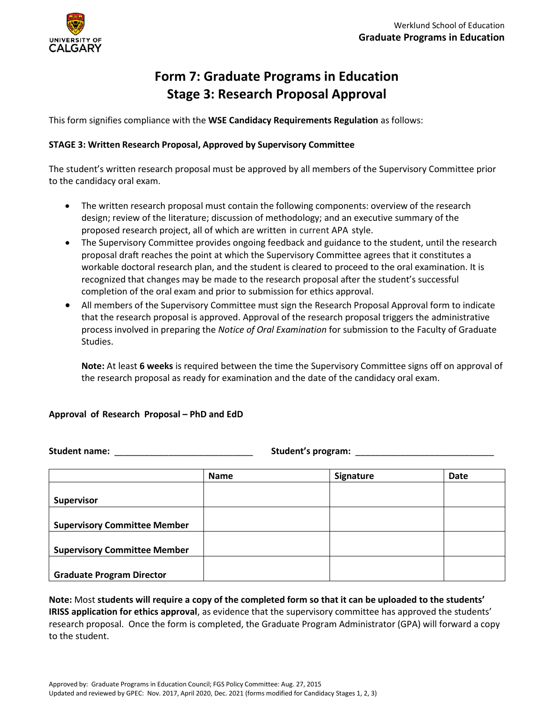

# <span id="page-14-0"></span>**Form 7: Graduate Programs in Education Stage 3: Research Proposal Approval**

This form signifies compliance with the **WSE Candidacy Requirements Regulation** as follows:

## **STAGE 3: Written Research Proposal, Approved by Supervisory Committee**

The student's written research proposal must be approved by all members of the Supervisory Committee prior to the candidacy oral exam.

- The written research proposal must contain the following components: overview of the research design; review of the literature; discussion of methodology; and an executive summary of the proposed research project, all of which are written in current APA style.
- The Supervisory Committee provides ongoing feedback and guidance to the student, until the research proposal draft reaches the point at which the Supervisory Committee agrees that it constitutes a workable doctoral research plan, and the student is cleared to proceed to the oral examination. It is recognized that changes may be made to the research proposal after the student's successful completion of the oral exam and prior to submission for ethics approval.
- All members of the Supervisory Committee must sign the Research Proposal Approval form to indicate that the research proposal is approved. Approval of the research proposal triggers the administrative process involved in preparing the *Notice of Oral Examination* for submission to the Faculty of Graduate Studies.

**Note:** At least **6 weeks** is required between the time the Supervisory Committee signs off on approval of the research proposal as ready for examination and the date of the candidacy oral exam.

#### **Approval of Research Proposal – PhD and EdD**

**Student name:** \_\_\_\_\_\_\_\_\_\_\_\_\_\_\_\_\_\_\_\_\_\_\_\_\_\_\_\_ **Student's program:** \_\_\_\_\_\_\_\_\_\_\_\_\_\_\_\_\_\_\_\_\_\_\_\_\_\_\_\_

|                                     | <b>Name</b> | Signature | Date |
|-------------------------------------|-------------|-----------|------|
|                                     |             |           |      |
| <b>Supervisor</b>                   |             |           |      |
|                                     |             |           |      |
| <b>Supervisory Committee Member</b> |             |           |      |
|                                     |             |           |      |
| <b>Supervisory Committee Member</b> |             |           |      |
|                                     |             |           |      |
| <b>Graduate Program Director</b>    |             |           |      |

**Note:** Most **students will require a copy of the completed form so that it can be uploaded to the students' IRISS application for ethics approval**, as evidence that the supervisory committee has approved the students' research proposal. Once the form is completed, the Graduate Program Administrator (GPA) will forward a copy to the student.